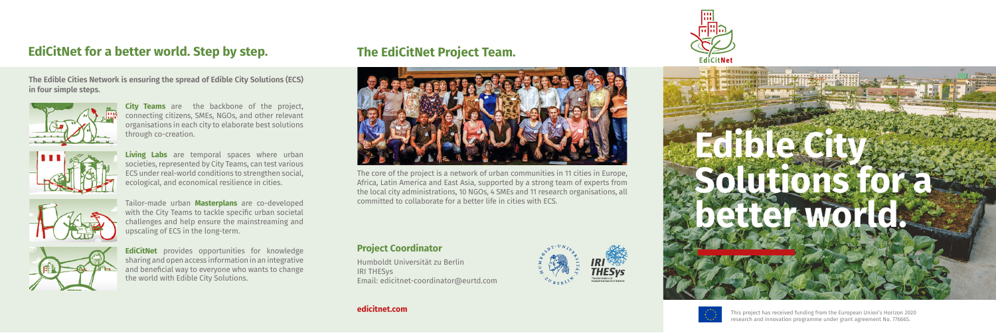## **The EdiCitNet Project Team.**



**The Edible Cities Network is ensuring the spread of Edible City Solutions (ECS) in four simple steps.**



**City Teams** are the backbone of the project, connecting citizens, SMEs, NGOs, and other relevant organisations in each city to elaborate best solutions through co-creation.



**Living Labs** are temporal spaces where urban societies, represented by City Teams, can test various ECS under real-world conditions to strengthen social, ecological, and economical resilience in cities.



Tailor-made urban **Masterplans** are co-developed with the City Teams to tackle specific urban societal challenges and help ensure the mainstreaming and upscaling of ECS in the long-term.



**EdiCitNet** provides opportunities for knowledge sharing and open access information in an integrative and beneficial way to everyone who wants to change the world with Edible City Solutions.

The core of the project is a network of urban communities in 11 cities in Europe, Africa, Latin America and East Asia, supported by a strong team of experts from the local city administrations, 10 NGOs, 4 SMEs and 11 research organisations, all committed to collaborate for a better life in cities with ECS.

### **Project Coordinator**

Humboldt Universität zu Berlin IRI THESys Email: [edicitnet-coordinator@eurtd.com](mailto:edicitnet-coordinator@eurtd.com)











This project has received funding from the European Union's Horizon 2020 research and innovation programme under grant agreement No. 776665.



## **EdiCitNet for a better world. Step by step.**